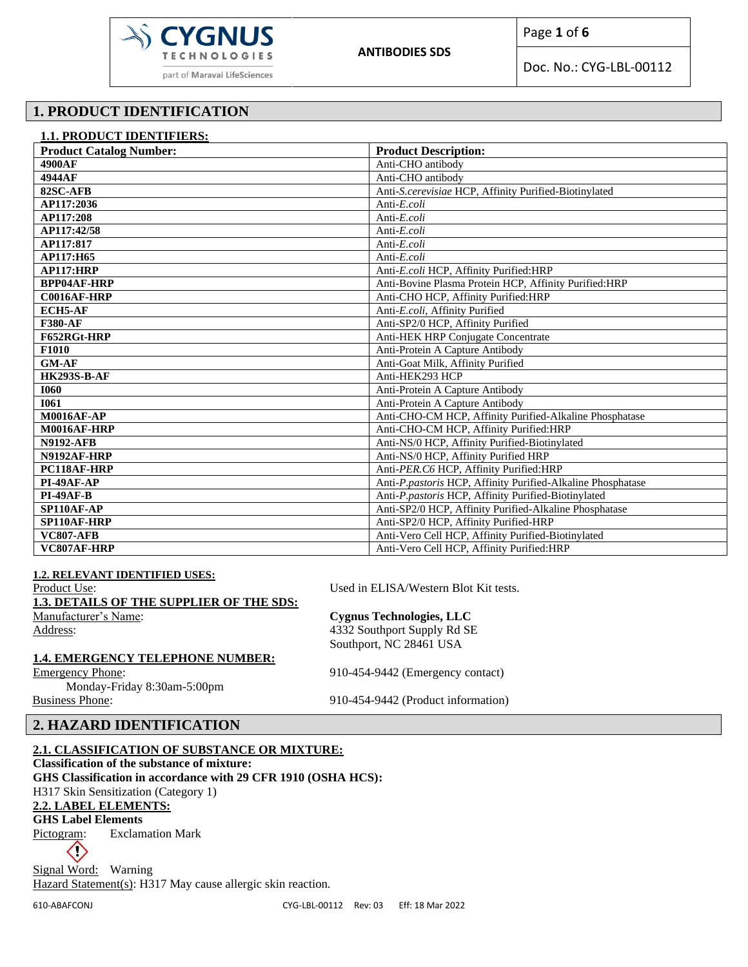

Doc. No.: CYG-LBL-00112

# **1. PRODUCT IDENTIFICATION**

| <b>1.1. PRODUCT IDENTIFIERS:</b> |                                                             |  |  |  |  |
|----------------------------------|-------------------------------------------------------------|--|--|--|--|
| <b>Product Catalog Number:</b>   | <b>Product Description:</b>                                 |  |  |  |  |
| 4900AF                           | Anti-CHO antibody                                           |  |  |  |  |
| 4944AF                           | Anti-CHO antibody                                           |  |  |  |  |
| 82SC-AFB                         | Anti-S.cerevisiae HCP, Affinity Purified-Biotinylated       |  |  |  |  |
| AP117:2036                       | Anti-E.coli                                                 |  |  |  |  |
| AP117:208                        | Anti-E.coli                                                 |  |  |  |  |
| AP117:42/58                      | Anti-E.coli                                                 |  |  |  |  |
| AP117:817                        | Anti-E.coli                                                 |  |  |  |  |
| AP117:H65                        | Anti-E.coli                                                 |  |  |  |  |
| AP117:HRP                        | Anti-E.coli HCP, Affinity Purified:HRP                      |  |  |  |  |
| <b>BPP04AF-HRP</b>               | Anti-Bovine Plasma Protein HCP, Affinity Purified: HRP      |  |  |  |  |
| C0016AF-HRP                      | Anti-CHO HCP, Affinity Purified:HRP                         |  |  |  |  |
| <b>ECH5-AF</b>                   | Anti-E.coli, Affinity Purified                              |  |  |  |  |
| <b>F380-AF</b>                   | Anti-SP2/0 HCP, Affinity Purified                           |  |  |  |  |
| F652RGt-HRP                      | Anti-HEK HRP Conjugate Concentrate                          |  |  |  |  |
| F1010                            | Anti-Protein A Capture Antibody                             |  |  |  |  |
| <b>GM-AF</b>                     | Anti-Goat Milk, Affinity Purified                           |  |  |  |  |
| <b>HK293S-B-AF</b>               | Anti-HEK293 HCP                                             |  |  |  |  |
| <b>I060</b>                      | Anti-Protein A Capture Antibody                             |  |  |  |  |
| <b>I061</b>                      | Anti-Protein A Capture Antibody                             |  |  |  |  |
| <b>M0016AF-AP</b>                | Anti-CHO-CM HCP, Affinity Purified-Alkaline Phosphatase     |  |  |  |  |
| <b>M0016AF-HRP</b>               | Anti-CHO-CM HCP, Affinity Purified:HRP                      |  |  |  |  |
| <b>N9192-AFB</b>                 | Anti-NS/0 HCP, Affinity Purified-Biotinylated               |  |  |  |  |
| N9192AF-HRP                      | Anti-NS/0 HCP, Affinity Purified HRP                        |  |  |  |  |
| PC118AF-HRP                      | Anti-PER.C6 HCP, Affinity Purified:HRP                      |  |  |  |  |
| PI-49AF-AP                       | Anti-P.pastoris HCP, Affinity Purified-Alkaline Phosphatase |  |  |  |  |
| <b>PI-49AF-B</b>                 | Anti-P.pastoris HCP, Affinity Purified-Biotinylated         |  |  |  |  |
| SP110AF-AP                       | Anti-SP2/0 HCP, Affinity Purified-Alkaline Phosphatase      |  |  |  |  |
| SP110AF-HRP                      | Anti-SP2/0 HCP, Affinity Purified-HRP                       |  |  |  |  |
| <b>VC807-AFB</b>                 | Anti-Vero Cell HCP, Affinity Purified-Biotinylated          |  |  |  |  |
| VC807AF-HRP                      | Anti-Vero Cell HCP, Affinity Purified: HRP                  |  |  |  |  |

| <b>1.2. RELEVANT IDENTIFIED USES:</b>           |                                       |
|-------------------------------------------------|---------------------------------------|
| Product Use:                                    | Used in ELISA/Western Blot Kit tests. |
| <b>1.3. DETAILS OF THE SUPPLIER OF THE SDS:</b> |                                       |
| Manufacturer's Name:                            | Cygnus Technologies, LLC              |
| Address:                                        | 4332 Southport Supply Rd SE           |
|                                                 | Southport, NC 28461 USA               |
| <b>1.4. EMERGENCY TELEPHONE NUMBER:</b>         |                                       |
| <b>Emergency Phone:</b>                         | 910-454-9442 (Emergency contact)      |
| Monday-Friday 8:30am-5:00pm                     |                                       |
| <b>Business Phone:</b>                          | 910-454-9442 (Product information)    |

## **2. HAZARD IDENTIFICATION**

### **2.1. CLASSIFICATION OF SUBSTANCE OR MIXTURE:**

**Classification of the substance of mixture: GHS Classification in accordance with 29 CFR 1910 (OSHA HCS):** H317 Skin Sensitization (Category 1)

# **2.2. LABEL ELEMENTS:**

**GHS Label Elements** 

Pictogram: Exclamation Mark

 $\Diamond$ 

Signal Word: Warning Hazard Statement(s): H317 May cause allergic skin reaction.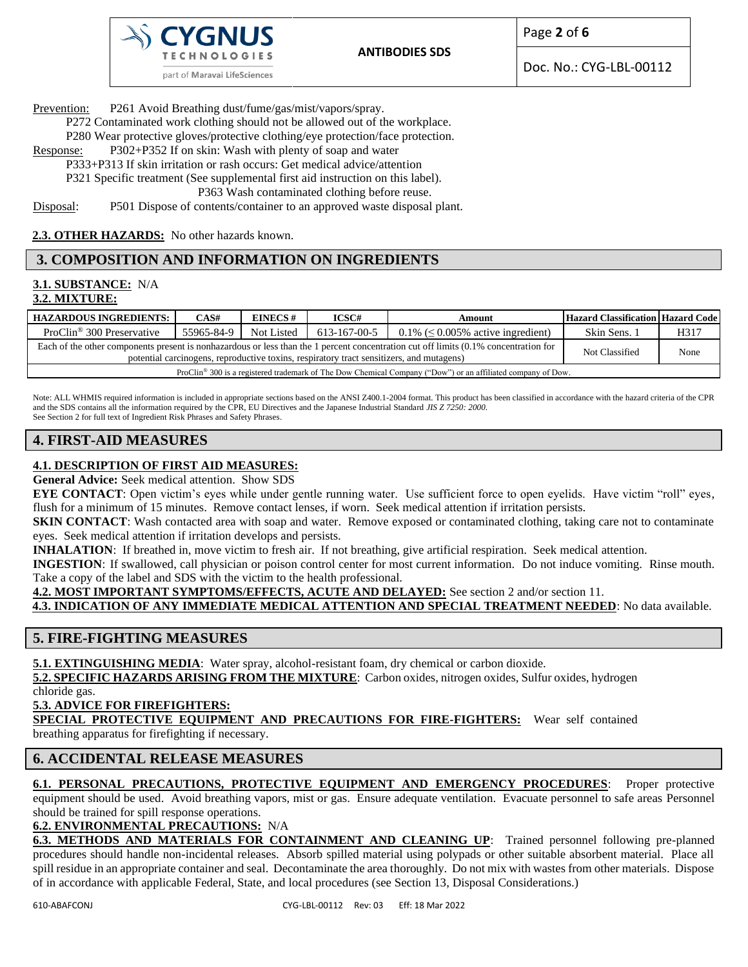

Prevention: P261 Avoid Breathing dust/fume/gas/mist/vapors/spray.

part of Maravai LifeSciences

P272 Contaminated work clothing should not be allowed out of the workplace.

P280 Wear protective gloves/protective clothing/eye protection/face protection.

- Response: P302+P352 If on skin: Wash with plenty of soap and water
- P333+P313 If skin irritation or rash occurs: Get medical advice/attention P321 Specific treatment (See supplemental first aid instruction on this label).

P363 Wash contaminated clothing before reuse.

Disposal: P501 Dispose of contents/container to an approved waste disposal plant.

**2.3. OTHER HAZARDS:** No other hazards known.

# **3. COMPOSITION AND INFORMATION ON INGREDIENTS**

#### **3.1. SUBSTANCE:** N/A **3.2. MIXTURE:**

| <b>HAZARDOUS INGREDIENTS:</b>                                                                                                                                                                                                    | CAS#       | <b>EINECS#</b> | ICSC#        | Amount                                  | <b>Hazard Classification Hazard Code</b> |      |
|----------------------------------------------------------------------------------------------------------------------------------------------------------------------------------------------------------------------------------|------------|----------------|--------------|-----------------------------------------|------------------------------------------|------|
| ProClin <sup>®</sup> 300 Preservative                                                                                                                                                                                            | 55965-84-9 | Not Listed     | 613-167-00-5 | $0.1\% \leq 0.005\%$ active ingredient) | Skin Sens. 1                             | H317 |
| Each of the other components present is nonhazardous or less than the 1 percent concentration cut off limits (0.1% concentration for<br>potential carcinogens, reproductive toxins, respiratory tract sensitizers, and mutagens) |            |                |              |                                         | Not Classified                           | None |
| ProClin <sup>®</sup> 300 is a registered trademark of The Dow Chemical Company ("Dow") or an affiliated company of Dow.                                                                                                          |            |                |              |                                         |                                          |      |

Note: ALL WHMIS required information is included in appropriate sections based on the ANSI Z400.1-2004 format. This product has been classified in accordance with the hazard criteria of the CPR and the SDS contains all the information required by the CPR, EU Directives and the Japanese Industrial Standard *JIS Z 7250: 2000*. See Section 2 for full text of Ingredient Risk Phrases and Safety Phrases.

# **4. FIRST-AID MEASURES**

# **4.1. DESCRIPTION OF FIRST AID MEASURES:**

**General Advice:** Seek medical attention. Show SDS

**EYE CONTACT**: Open victim's eyes while under gentle running water. Use sufficient force to open eyelids. Have victim "roll" eyes, flush for a minimum of 15 minutes. Remove contact lenses, if worn. Seek medical attention if irritation persists.

**SKIN CONTACT:** Wash contacted area with soap and water. Remove exposed or contaminated clothing, taking care not to contaminate eyes. Seek medical attention if irritation develops and persists.

**INHALATION**: If breathed in, move victim to fresh air. If not breathing, give artificial respiration. Seek medical attention.

**INGESTION**: If swallowed, call physician or poison control center for most current information. Do not induce vomiting. Rinse mouth. Take a copy of the label and SDS with the victim to the health professional.

**4.2. MOST IMPORTANT SYMPTOMS/EFFECTS, ACUTE AND DELAYED:** See section 2 and/or section 11.

**4.3. INDICATION OF ANY IMMEDIATE MEDICAL ATTENTION AND SPECIAL TREATMENT NEEDED**: No data available.

# **5. FIRE-FIGHTING MEASURES**

5.1. EXTINGUISHING MEDIA: Water spray, alcohol-resistant foam, dry chemical or carbon dioxide.

**5.2. SPECIFIC HAZARDS ARISING FROM THE MIXTURE**: Carbon oxides, nitrogen oxides, Sulfur oxides, hydrogen

chloride gas.

**5.3. ADVICE FOR FIREFIGHTERS:**

**SPECIAL PROTECTIVE EQUIPMENT AND PRECAUTIONS FOR FIRE-FIGHTERS:** Wear self contained breathing apparatus for firefighting if necessary.

# **6. ACCIDENTAL RELEASE MEASURES**

**6.1. PERSONAL PRECAUTIONS, PROTECTIVE EQUIPMENT AND EMERGENCY PROCEDURES**: Proper protective equipment should be used. Avoid breathing vapors, mist or gas. Ensure adequate ventilation. Evacuate personnel to safe areas Personnel

should be trained for spill response operations.

**6.2. ENVIRONMENTAL PRECAUTIONS:** N/A

**6.3. METHODS AND MATERIALS FOR CONTAINMENT AND CLEANING UP**: Trained personnel following pre-planned procedures should handle non-incidental releases. Absorb spilled material using polypads or other suitable absorbent material. Place all spill residue in an appropriate container and seal. Decontaminate the area thoroughly. Do not mix with wastes from other materials. Dispose of in accordance with applicable Federal, State, and local procedures (see Section 13, Disposal Considerations.)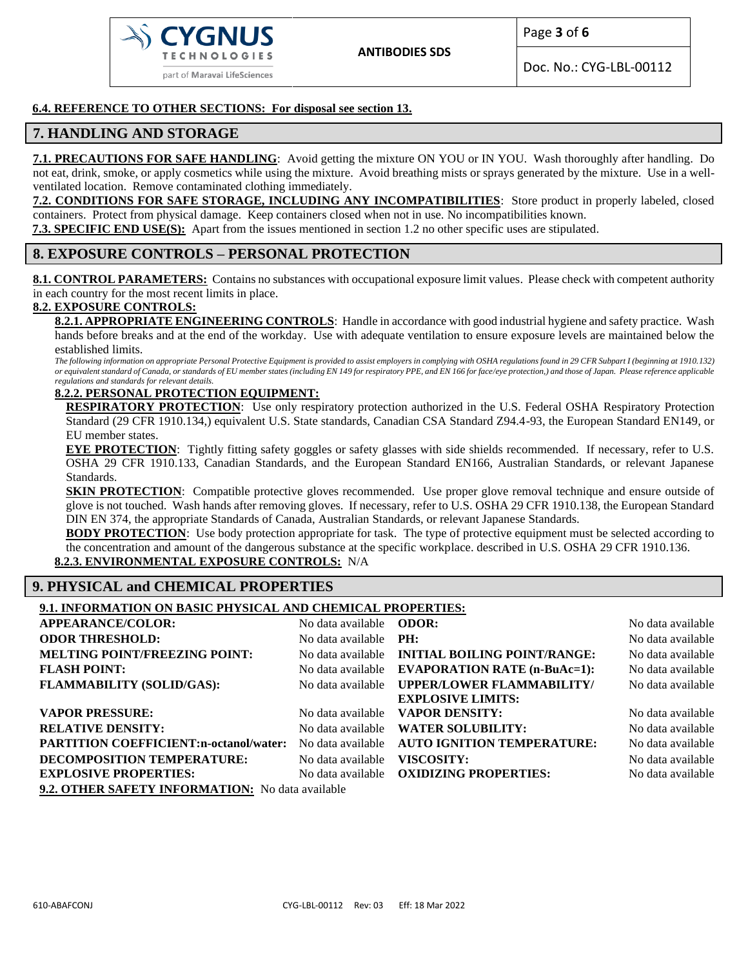

Page **3** of **6**

Doc. No.: CYG-LBL-00112

#### **6.4. REFERENCE TO OTHER SECTIONS: For disposal see section 13.**

### **7. HANDLING AND STORAGE**

**7.1. PRECAUTIONS FOR SAFE HANDLING**: Avoid getting the mixture ON YOU or IN YOU. Wash thoroughly after handling. Do not eat, drink, smoke, or apply cosmetics while using the mixture. Avoid breathing mists or sprays generated by the mixture. Use in a wellventilated location. Remove contaminated clothing immediately.

**7.2. CONDITIONS FOR SAFE STORAGE, INCLUDING ANY INCOMPATIBILITIES**: Store product in properly labeled, closed containers. Protect from physical damage. Keep containers closed when not in use. No incompatibilities known.

**7.3. SPECIFIC END USE(S):** Apart from the issues mentioned in section 1.2 no other specific uses are stipulated.

## **8. EXPOSURE CONTROLS – PERSONAL PROTECTION**

8.1. CONTROL PARAMETERS: Contains no substances with occupational exposure limit values. Please check with competent authority in each country for the most recent limits in place.

#### **8.2. EXPOSURE CONTROLS:**

**8.2.1. APPROPRIATE ENGINEERING CONTROLS**: Handle in accordance with good industrial hygiene and safety practice. Wash hands before breaks and at the end of the workday. Use with adequate ventilation to ensure exposure levels are maintained below the established limits.

*The following information on appropriate Personal Protective Equipment is provided to assist employers in complying with OSHA regulations found in 29 CFR Subpart I (beginning at 1910.132) or equivalent standard of Canada, or standards of EU member states (including EN 149 for respiratory PPE, and EN 166 for face/eye protection,) and those of Japan. Please reference applicable regulations and standards for relevant details.*

#### **8.2.2. PERSONAL PROTECTION EQUIPMENT:**

**RESPIRATORY PROTECTION**: Use only respiratory protection authorized in the U.S. Federal OSHA Respiratory Protection Standard (29 CFR 1910.134,) equivalent U.S. State standards, Canadian CSA Standard Z94.4-93, the European Standard EN149, or EU member states.

**EYE PROTECTION**: Tightly fitting safety goggles or safety glasses with side shields recommended. If necessary, refer to U.S. OSHA 29 CFR 1910.133, Canadian Standards, and the European Standard EN166, Australian Standards, or relevant Japanese Standards.

**SKIN PROTECTION:** Compatible protective gloves recommended. Use proper glove removal technique and ensure outside of glove is not touched. Wash hands after removing gloves. If necessary, refer to U.S. OSHA 29 CFR 1910.138, the European Standard DIN EN 374, the appropriate Standards of Canada, Australian Standards, or relevant Japanese Standards.

**BODY PROTECTION:** Use body protection appropriate for task. The type of protective equipment must be selected according to the concentration and amount of the dangerous substance at the specific workplace. described in U.S. OSHA 29 CFR 1910.136.

**8.2.3. ENVIRONMENTAL EXPOSURE CONTROLS:** N/A

### **9. PHYSICAL and CHEMICAL PROPERTIES**

#### **9.1. INFORMATION ON BASIC PHYSICAL AND CHEMICAL PROPERTIES:**

| <b>APPEARANCE/COLOR:</b>                         | No data available <b>ODOR</b> : |                                                       | No data available |  |  |  |
|--------------------------------------------------|---------------------------------|-------------------------------------------------------|-------------------|--|--|--|
| <b>ODOR THRESHOLD:</b>                           | No data available PH:           |                                                       | No data available |  |  |  |
| <b>MELTING POINT/FREEZING POINT:</b>             |                                 | No data available <b>INITIAL BOILING POINT/RANGE:</b> | No data available |  |  |  |
| <b>FLASH POINT:</b>                              |                                 | No data available EVAPORATION RATE (n-BuAc=1):        | No data available |  |  |  |
| <b>FLAMMABILITY (SOLID/GAS):</b>                 | No data available               | <b>UPPER/LOWER FLAMMABILITY/</b>                      | No data available |  |  |  |
|                                                  |                                 | <b>EXPLOSIVE LIMITS:</b>                              |                   |  |  |  |
| <b>VAPOR PRESSURE:</b>                           | No data available               | <b>VAPOR DENSITY:</b>                                 | No data available |  |  |  |
| <b>RELATIVE DENSITY:</b>                         | No data available               | <b>WATER SOLUBILITY:</b>                              | No data available |  |  |  |
| <b>PARTITION COEFFICIENT:n-octanol/water:</b>    | No data available               | <b>AUTO IGNITION TEMPERATURE:</b>                     | No data available |  |  |  |
| <b>DECOMPOSITION TEMPERATURE:</b>                | No data available               | VISCOSITY:                                            | No data available |  |  |  |
| <b>EXPLOSIVE PROPERTIES:</b>                     | No data available               | <b>OXIDIZING PROPERTIES:</b>                          | No data available |  |  |  |
| 9.2. OTHER SAFETY INFORMATION: No data available |                                 |                                                       |                   |  |  |  |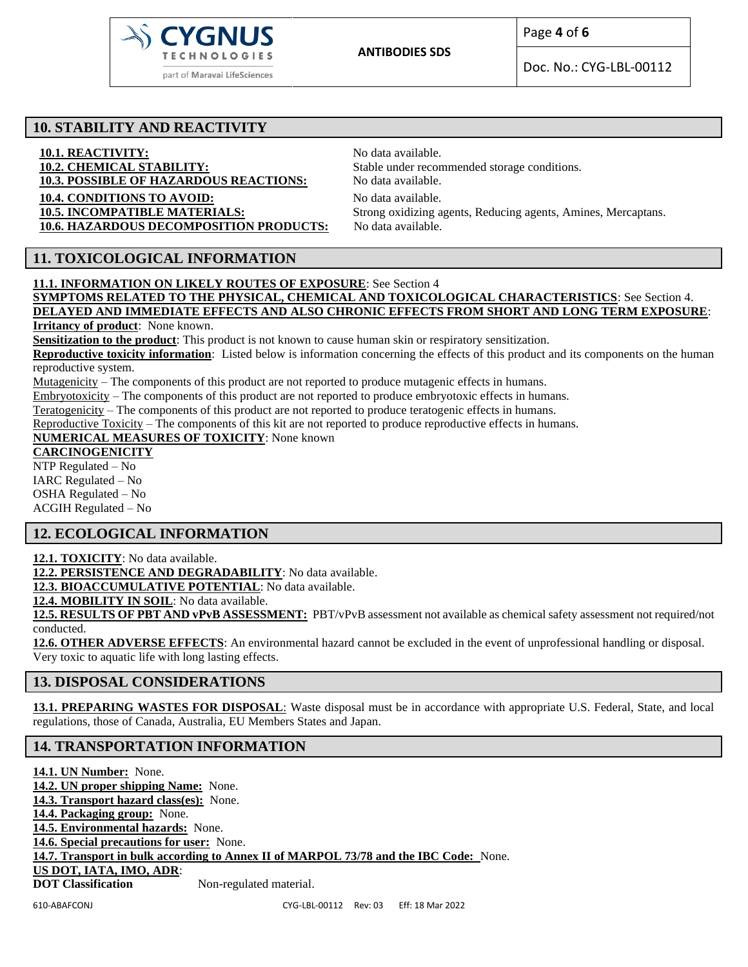

Doc. No.: CYG-LBL-00112

## **10. STABILITY AND REACTIVITY**

**10.1. REACTIVITY:**<br> **10.2. CHEMICAL STABILITY:**<br>
Stable under recon **10.3. POSSIBLE OF HAZARDOUS REACTIONS:** No data available. **10.4. CONDITIONS TO AVOID:** No data available. 10.6. HAZARDOUS DECOMPOSITION PRODUCTS: No data available.

Stable under recommended storage conditions. **10.5. INCOMPATIBLE MATERIALS:** Strong oxidizing agents, Reducing agents, Amines, Mercaptans.

# **11. TOXICOLOGICAL INFORMATION**

**11.1. INFORMATION ON LIKELY ROUTES OF EXPOSURE**: See Section 4 **SYMPTOMS RELATED TO THE PHYSICAL, CHEMICAL AND TOXICOLOGICAL CHARACTERISTICS**: See Section 4. **DELAYED AND IMMEDIATE EFFECTS AND ALSO CHRONIC EFFECTS FROM SHORT AND LONG TERM EXPOSURE**:

**Irritancy of product**: None known.

**Sensitization to the product**: This product is not known to cause human skin or respiratory sensitization.

**Reproductive toxicity information**: Listed below is information concerning the effects of this product and its components on the human reproductive system.

Mutagenicity – The components of this product are not reported to produce mutagenic effects in humans.

Embryotoxicity – The components of this product are not reported to produce embryotoxic effects in humans.

Teratogenicity – The components of this product are not reported to produce teratogenic effects in humans.

Reproductive Toxicity – The components of this kit are not reported to produce reproductive effects in humans.

**NUMERICAL MEASURES OF TOXICITY**: None known

## **CARCINOGENICITY**

NTP Regulated – No IARC Regulated – No OSHA Regulated – No ACGIH Regulated – No

# **12. ECOLOGICAL INFORMATION**

**12.1. TOXICITY**: No data available.

**12.2. PERSISTENCE AND DEGRADABILITY**: No data available.

**12.3. BIOACCUMULATIVE POTENTIAL**: No data available.

12.4. MOBILITY IN SOIL: No data available.

**12.5. RESULTS OF PBT AND vPvB ASSESSMENT:** PBT/vPvB assessment not available as chemical safety assessment not required/not conducted.

**12.6. OTHER ADVERSE EFFECTS**: An environmental hazard cannot be excluded in the event of unprofessional handling or disposal. Very toxic to aquatic life with long lasting effects.

# **13. DISPOSAL CONSIDERATIONS**

**13.1. PREPARING WASTES FOR DISPOSAL**: Waste disposal must be in accordance with appropriate U.S. Federal, State, and local regulations, those of Canada, Australia, EU Members States and Japan.

# **14. TRANSPORTATION INFORMATION**

**14.1. UN Number:** None. **14.2. UN proper shipping Name:** None. **14.3. Transport hazard class(es):** None. **14.4. Packaging group:** None. **14.5. Environmental hazards:** None. **14.6. Special precautions for user:** None. **14.7. Transport in bulk according to Annex II of MARPOL 73/78 and the IBC Code:** None. **US DOT, IATA, IMO, ADR**: **DOT Classification** Non-regulated material.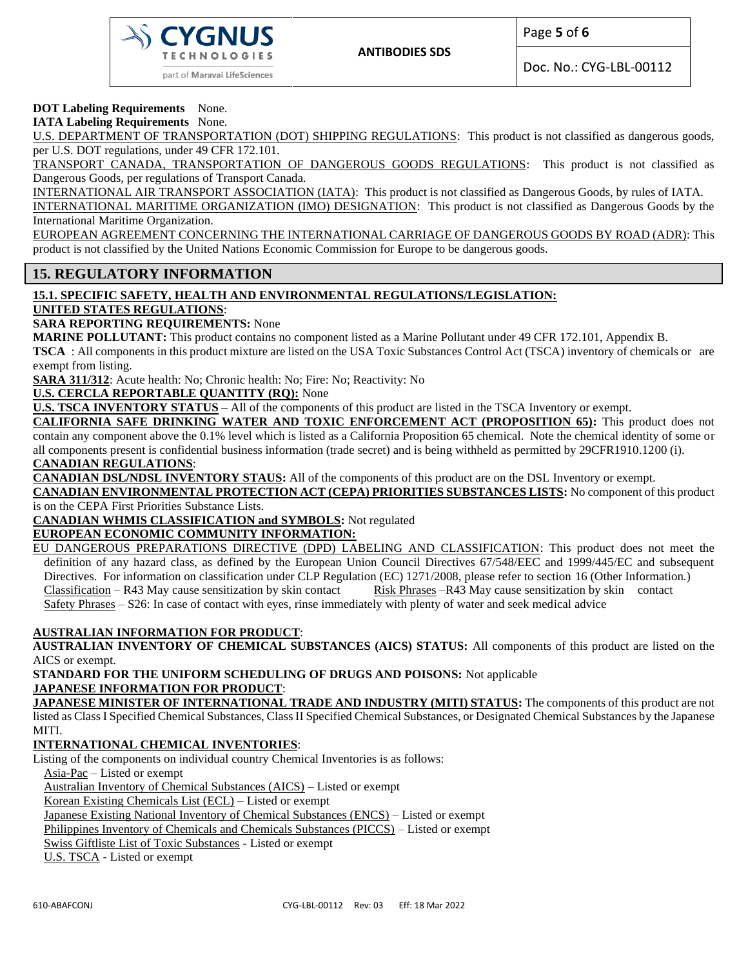

Doc. No.: CYG-LBL-00112

## **DOT Labeling Requirements** None.

**IATA Labeling Requirements** None.

U.S. DEPARTMENT OF TRANSPORTATION (DOT) SHIPPING REGULATIONS: This product is not classified as dangerous goods, per U.S. DOT regulations, under 49 CFR 172.101.

TRANSPORT CANADA, TRANSPORTATION OF DANGEROUS GOODS REGULATIONS: This product is not classified as Dangerous Goods, per regulations of Transport Canada.

INTERNATIONAL AIR TRANSPORT ASSOCIATION (IATA): This product is not classified as Dangerous Goods, by rules of IATA. INTERNATIONAL MARITIME ORGANIZATION (IMO) DESIGNATION: This product is not classified as Dangerous Goods by the International Maritime Organization.

EUROPEAN AGREEMENT CONCERNING THE INTERNATIONAL CARRIAGE OF DANGEROUS GOODS BY ROAD (ADR): This product is not classified by the United Nations Economic Commission for Europe to be dangerous goods.

## **15. REGULATORY INFORMATION**

### **15.1. SPECIFIC SAFETY, HEALTH AND ENVIRONMENTAL REGULATIONS/LEGISLATION: UNITED STATES REGULATIONS**:

**SARA REPORTING REQUIREMENTS:** None

**MARINE POLLUTANT:** This product contains no component listed as a Marine Pollutant under 49 CFR 172.101, Appendix B.

**TSCA** : All components in this product mixture are listed on the USA Toxic Substances Control Act (TSCA) inventory of chemicals or are exempt from listing.

**SARA 311/312**: Acute health: No; Chronic health: No; Fire: No; Reactivity: No

**U.S. CERCLA REPORTABLE QUANTITY (RQ):** None

**U.S. TSCA INVENTORY STATUS** – All of the components of this product are listed in the TSCA Inventory or exempt.

**CALIFORNIA SAFE DRINKING WATER AND TOXIC ENFORCEMENT ACT (PROPOSITION 65):** This product does not contain any component above the 0.1% level which is listed as a California Proposition 65 chemical. Note the chemical identity of some or all components present is confidential business information (trade secret) and is being withheld as permitted by 29CFR1910.1200 (i). **CANADIAN REGULATIONS**:

**CANADIAN DSL/NDSL INVENTORY STAUS:** All of the components of this product are on the DSL Inventory or exempt.

**CANADIAN ENVIRONMENTAL PROTECTION ACT (CEPA) PRIORITIES SUBSTANCES LISTS:** No component of this product is on the CEPA First Priorities Substance Lists.

**CANADIAN WHMIS CLASSIFICATION and SYMBOLS:** Not regulated

### **EUROPEAN ECONOMIC COMMUNITY INFORMATION:**

EU DANGEROUS PREPARATIONS DIRECTIVE (DPD) LABELING AND CLASSIFICATION: This product does not meet the definition of any hazard class, as defined by the European Union Council Directives 67/548/EEC and 1999/445/EC and subsequent Directives. For information on classification under CLP Regulation (EC) 1271/2008, please refer to section 16 (Other Information.) Classification – R43 May cause sensitization by skin contact Risk Phrases –R43 May cause sensitization by skin contact Safety Phrases – S26: In case of contact with eyes, rinse immediately with plenty of water and seek medical advice

#### **AUSTRALIAN INFORMATION FOR PRODUCT**:

**AUSTRALIAN INVENTORY OF CHEMICAL SUBSTANCES (AICS) STATUS:** All components of this product are listed on the AICS or exempt.

**STANDARD FOR THE UNIFORM SCHEDULING OF DRUGS AND POISONS:** Not applicable **JAPANESE INFORMATION FOR PRODUCT**:

**JAPANESE MINISTER OF INTERNATIONAL TRADE AND INDUSTRY (MITI) STATUS:** The components of this product are not listed as Class I Specified Chemical Substances, Class II Specified Chemical Substances, or Designated Chemical Substances by the Japanese MITI.

### **INTERNATIONAL CHEMICAL INVENTORIES**:

Listing of the components on individual country Chemical Inventories is as follows:

Asia-Pac – Listed or exempt

Australian Inventory of Chemical Substances (AICS) – Listed or exempt

Korean Existing Chemicals List (ECL) – Listed or exempt

Japanese Existing National Inventory of Chemical Substances (ENCS) – Listed or exempt

Philippines Inventory of Chemicals and Chemicals Substances (PICCS) – Listed or exempt

Swiss Giftliste List of Toxic Substances - Listed or exempt

U.S. TSCA - Listed or exempt